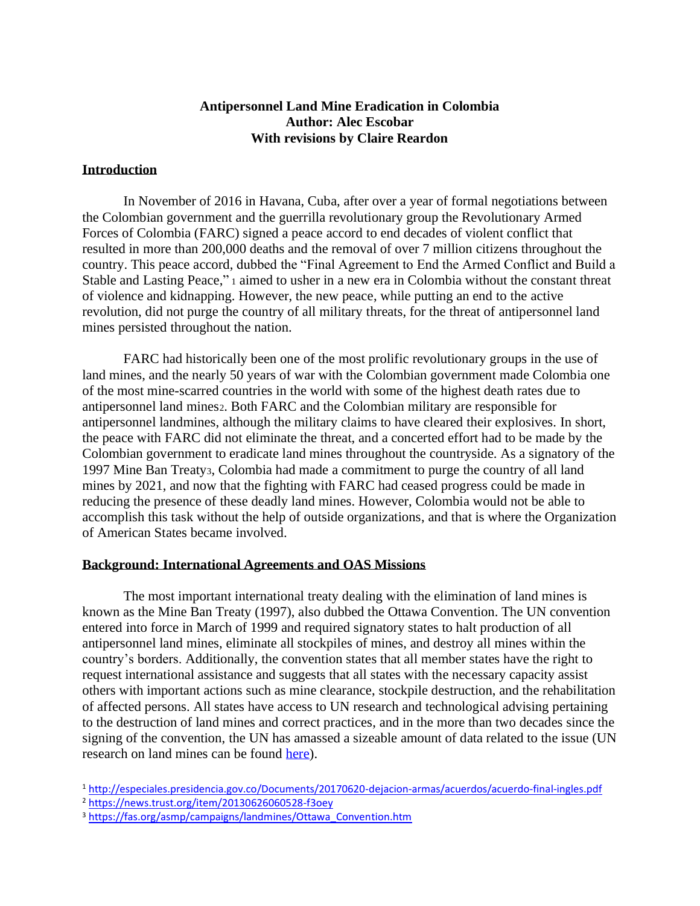## **Antipersonnel Land Mine Eradication in Colombia Author: Alec Escobar With revisions by Claire Reardon**

#### **Introduction**

In November of 2016 in Havana, Cuba, after over a year of formal negotiations between the Colombian government and the guerrilla revolutionary group the Revolutionary Armed Forces of Colombia (FARC) signed a peace accord to end decades of violent conflict that resulted in more than 200,000 deaths and the removal of over 7 million citizens throughout the country. This peace accord, dubbed the "Final Agreement to End the Armed Conflict and Build a Stable and Lasting Peace," <sup>1</sup> aimed to usher in a new era in Colombia without the constant threat of violence and kidnapping. However, the new peace, while putting an end to the active revolution, did not purge the country of all military threats, for the threat of antipersonnel land mines persisted throughout the nation.

FARC had historically been one of the most prolific revolutionary groups in the use of land mines, and the nearly 50 years of war with the Colombian government made Colombia one of the most mine-scarred countries in the world with some of the highest death rates due to antipersonnel land mines2. Both FARC and the Colombian military are responsible for antipersonnel landmines, although the military claims to have cleared their explosives. In short, the peace with FARC did not eliminate the threat, and a concerted effort had to be made by the Colombian government to eradicate land mines throughout the countryside. As a signatory of the 1997 Mine Ban Treaty3, Colombia had made a commitment to purge the country of all land mines by 2021, and now that the fighting with FARC had ceased progress could be made in reducing the presence of these deadly land mines. However, Colombia would not be able to accomplish this task without the help of outside organizations, and that is where the Organization of American States became involved.

#### **Background: International Agreements and OAS Missions**

The most important international treaty dealing with the elimination of land mines is known as the Mine Ban Treaty (1997), also dubbed the Ottawa Convention. The UN convention entered into force in March of 1999 and required signatory states to halt production of all antipersonnel land mines, eliminate all stockpiles of mines, and destroy all mines within the country's borders. Additionally, the convention states that all member states have the right to request international assistance and suggests that all states with the necessary capacity assist others with important actions such as mine clearance, stockpile destruction, and the rehabilitation of affected persons. All states have access to UN research and technological advising pertaining to the destruction of land mines and correct practices, and in the more than two decades since the signing of the convention, the UN has amassed a sizeable amount of data related to the issue (UN research on land mines can be found [here\)](https://research.un.org/en/mines/introduction).

<sup>1</sup> <http://especiales.presidencia.gov.co/Documents/20170620-dejacion-armas/acuerdos/acuerdo-final-ingles.pdf>

<sup>2</sup> <https://news.trust.org/item/20130626060528-f3oey>

<sup>&</sup>lt;sup>3</sup> [https://fas.org/asmp/campaigns/landmines/Ottawa\\_Convention.htm](https://fas.org/asmp/campaigns/landmines/Ottawa_Convention.htm)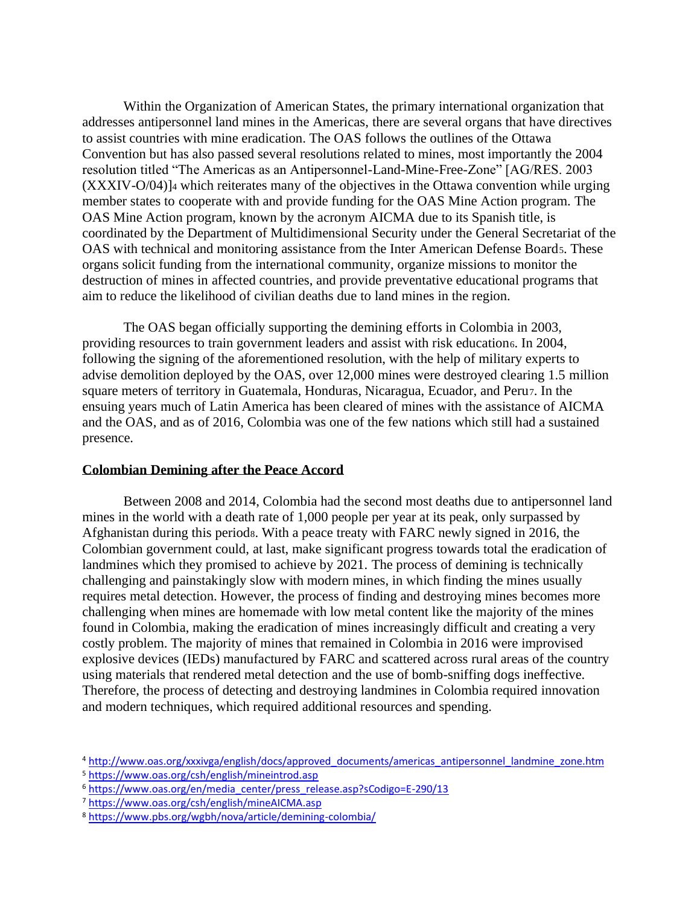Within the Organization of American States, the primary international organization that addresses antipersonnel land mines in the Americas, there are several organs that have directives to assist countries with mine eradication. The OAS follows the outlines of the Ottawa Convention but has also passed several resolutions related to mines, most importantly the 2004 resolution titled "The Americas as an Antipersonnel-Land-Mine-Free-Zone" [AG/RES. 2003 (XXXIV-O/04)]<sup>4</sup> which reiterates many of the objectives in the Ottawa convention while urging member states to cooperate with and provide funding for the OAS Mine Action program. The OAS Mine Action program, known by the acronym AICMA due to its Spanish title, is coordinated by the Department of Multidimensional Security under the General Secretariat of the OAS with technical and monitoring assistance from the Inter American Defense Board5. These organs solicit funding from the international community, organize missions to monitor the destruction of mines in affected countries, and provide preventative educational programs that aim to reduce the likelihood of civilian deaths due to land mines in the region.

The OAS began officially supporting the demining efforts in Colombia in 2003, providing resources to train government leaders and assist with risk educations. In 2004, following the signing of the aforementioned resolution, with the help of military experts to advise demolition deployed by the OAS, over 12,000 mines were destroyed clearing 1.5 million square meters of territory in Guatemala, Honduras, Nicaragua, Ecuador, and Peru7. In the ensuing years much of Latin America has been cleared of mines with the assistance of AICMA and the OAS, and as of 2016, Colombia was one of the few nations which still had a sustained presence.

#### **Colombian Demining after the Peace Accord**

Between 2008 and 2014, Colombia had the second most deaths due to antipersonnel land mines in the world with a death rate of 1,000 people per year at its peak, only surpassed by Afghanistan during this periods. With a peace treaty with FARC newly signed in 2016, the Colombian government could, at last, make significant progress towards total the eradication of landmines which they promised to achieve by 2021. The process of demining is technically challenging and painstakingly slow with modern mines, in which finding the mines usually requires metal detection. However, the process of finding and destroying mines becomes more challenging when mines are homemade with low metal content like the majority of the mines found in Colombia, making the eradication of mines increasingly difficult and creating a very costly problem. The majority of mines that remained in Colombia in 2016 were improvised explosive devices (IEDs) manufactured by FARC and scattered across rural areas of the country using materials that rendered metal detection and the use of bomb-sniffing dogs ineffective. Therefore, the process of detecting and destroying landmines in Colombia required innovation and modern techniques, which required additional resources and spending.

<sup>4</sup> [http://www.oas.org/xxxivga/english/docs/approved\\_documents/americas\\_antipersonnel\\_landmine\\_zone.htm](http://www.oas.org/xxxivga/english/docs/approved_documents/americas_antipersonnel_landmine_zone.htm)

<sup>5</sup> <https://www.oas.org/csh/english/mineintrod.asp>

<sup>&</sup>lt;sup>6</sup> [https://www.oas.org/en/media\\_center/press\\_release.asp?sCodigo=E-290/13](https://www.oas.org/en/media_center/press_release.asp?sCodigo=E-290/13)

<sup>7</sup> <https://www.oas.org/csh/english/mineAICMA.asp>

<sup>8</sup> <https://www.pbs.org/wgbh/nova/article/demining-colombia/>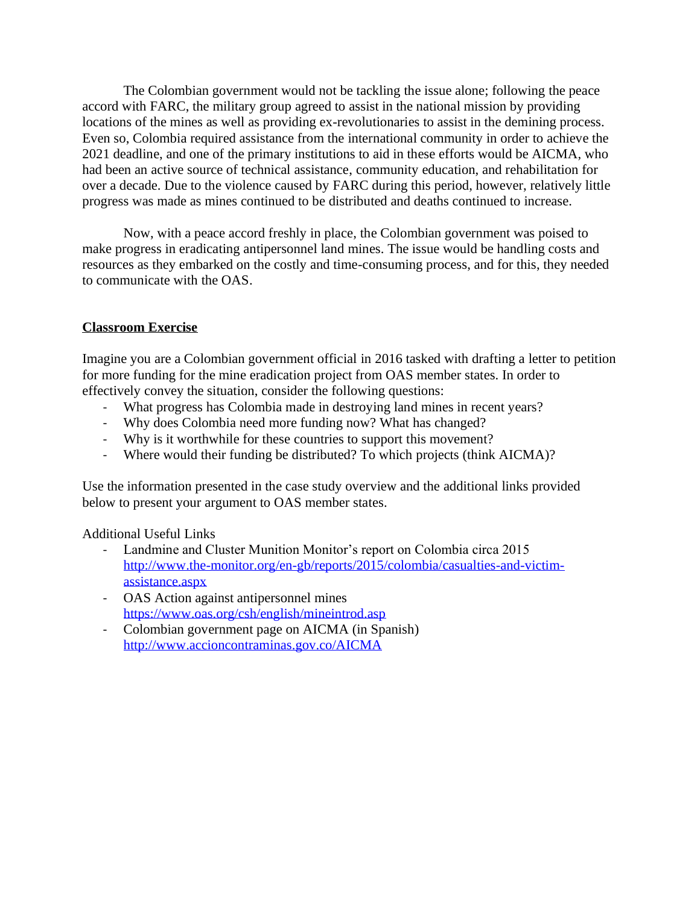The Colombian government would not be tackling the issue alone; following the peace accord with FARC, the military group agreed to assist in the national mission by providing locations of the mines as well as providing ex-revolutionaries to assist in the demining process. Even so, Colombia required assistance from the international community in order to achieve the 2021 deadline, and one of the primary institutions to aid in these efforts would be AICMA, who had been an active source of technical assistance, community education, and rehabilitation for over a decade. Due to the violence caused by FARC during this period, however, relatively little progress was made as mines continued to be distributed and deaths continued to increase.

Now, with a peace accord freshly in place, the Colombian government was poised to make progress in eradicating antipersonnel land mines. The issue would be handling costs and resources as they embarked on the costly and time-consuming process, and for this, they needed to communicate with the OAS.

## **Classroom Exercise**

Imagine you are a Colombian government official in 2016 tasked with drafting a letter to petition for more funding for the mine eradication project from OAS member states. In order to effectively convey the situation, consider the following questions:

- What progress has Colombia made in destroying land mines in recent years?
- Why does Colombia need more funding now? What has changed?
- Why is it worthwhile for these countries to support this movement?
- Where would their funding be distributed? To which projects (think AICMA)?

Use the information presented in the case study overview and the additional links provided below to present your argument to OAS member states.

Additional Useful Links

- Landmine and Cluster Munition Monitor's report on Colombia circa 2015 [http://www.the-monitor.org/en-gb/reports/2015/colombia/casualties-and-victim](http://www.the-monitor.org/en-gb/reports/2015/colombia/casualties-and-victim-assistance.aspx)[assistance.aspx](http://www.the-monitor.org/en-gb/reports/2015/colombia/casualties-and-victim-assistance.aspx)
- OAS Action against antipersonnel mines <https://www.oas.org/csh/english/mineintrod.asp>
- Colombian government page on AICMA (in Spanish) <http://www.accioncontraminas.gov.co/AICMA>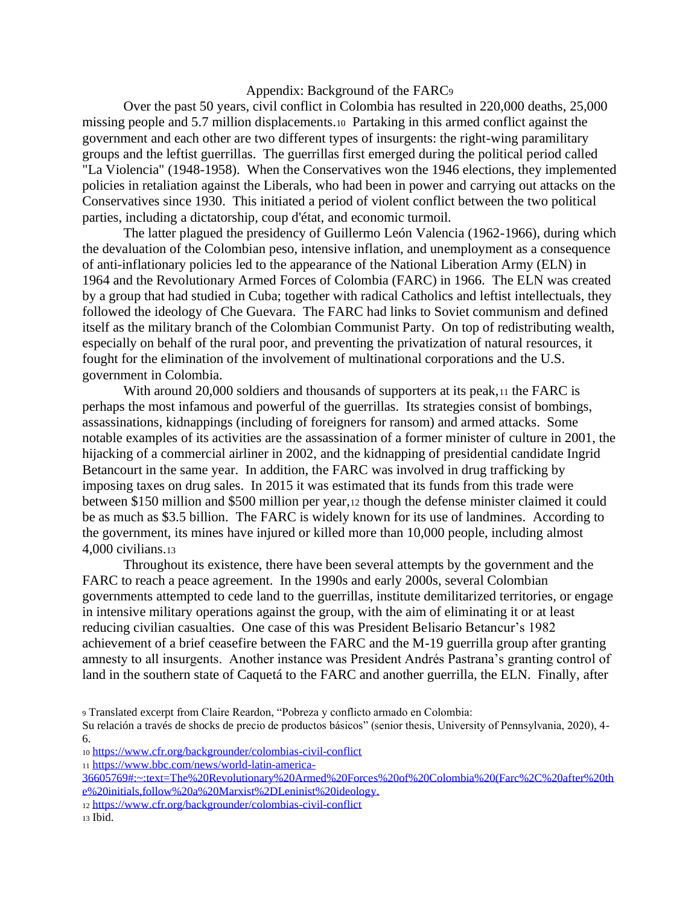#### Appendix: Background of the FARC<sup>9</sup>

Over the past 50 years, civil conflict in Colombia has resulted in 220,000 deaths, 25,000 missing people and 5.7 million displacements.10 Partaking in this armed conflict against the government and each other are two different types of insurgents: the right-wing paramilitary groups and the leftist guerrillas. The guerrillas first emerged during the political period called "La Violencia" (1948-1958). When the Conservatives won the 1946 elections, they implemented policies in retaliation against the Liberals, who had been in power and carrying out attacks on the Conservatives since 1930. This initiated a period of violent conflict between the two political parties, including a dictatorship, coup d'état, and economic turmoil.

The latter plagued the presidency of Guillermo León Valencia (1962-1966), during which the devaluation of the Colombian peso, intensive inflation, and unemployment as a consequence of anti-inflationary policies led to the appearance of the National Liberation Army (ELN) in 1964 and the Revolutionary Armed Forces of Colombia (FARC) in 1966. The ELN was created by a group that had studied in Cuba; together with radical Catholics and leftist intellectuals, they followed the ideology of Che Guevara. The FARC had links to Soviet communism and defined itself as the military branch of the Colombian Communist Party. On top of redistributing wealth, especially on behalf of the rural poor, and preventing the privatization of natural resources, it fought for the elimination of the involvement of multinational corporations and the U.S. government in Colombia.

With around 20,000 soldiers and thousands of supporters at its peak,  $\mu$  the FARC is perhaps the most infamous and powerful of the guerrillas. Its strategies consist of bombings, assassinations, kidnappings (including of foreigners for ransom) and armed attacks. Some notable examples of its activities are the assassination of a former minister of culture in 2001, the hijacking of a commercial airliner in 2002, and the kidnapping of presidential candidate Ingrid Betancourt in the same year. In addition, the FARC was involved in drug trafficking by imposing taxes on drug sales. In 2015 it was estimated that its funds from this trade were between \$150 million and \$500 million per year,<sup>12</sup> though the defense minister claimed it could be as much as \$3.5 billion. The FARC is widely known for its use of landmines. According to the government, its mines have injured or killed more than 10,000 people, including almost 4,000 civilians.<sup>13</sup>

Throughout its existence, there have been several attempts by the government and the FARC to reach a peace agreement. In the 1990s and early 2000s, several Colombian governments attempted to cede land to the guerrillas, institute demilitarized territories, or engage in intensive military operations against the group, with the aim of eliminating it or at least reducing civilian casualties. One case of this was President Belisario Betancur's 1982 achievement of a brief ceasefire between the FARC and the M-19 guerrilla group after granting amnesty to all insurgents. Another instance was President Andrés Pastrana's granting control of land in the southern state of Caquetá to the FARC and another guerrilla, the ELN. Finally, after

<sup>9</sup> Translated excerpt from Claire Reardon, "Pobreza y conflicto armado en Colombia:

<sup>11</sup> [https://www.bbc.com/news/world-latin-america-](https://www.bbc.com/news/world-latin-america-36605769#:~:text=The%20Revolutionary%20Armed%20Forces%20of%20Colombia%20(Farc%2C%20after%20the%20initials,follow%20a%20Marxist%2DLeninist%20ideology.)

[36605769#:~:text=The%20Revolutionary%20Armed%20Forces%20of%20Colombia%20\(Farc%2C%20after%20th](https://www.bbc.com/news/world-latin-america-36605769#:~:text=The%20Revolutionary%20Armed%20Forces%20of%20Colombia%20(Farc%2C%20after%20the%20initials,follow%20a%20Marxist%2DLeninist%20ideology.) [e%20initials,follow%20a%20Marxist%2DLeninist%20ideology.](https://www.bbc.com/news/world-latin-america-36605769#:~:text=The%20Revolutionary%20Armed%20Forces%20of%20Colombia%20(Farc%2C%20after%20the%20initials,follow%20a%20Marxist%2DLeninist%20ideology.)

<sup>12</sup> <https://www.cfr.org/backgrounder/colombias-civil-conflict>

Su relación a través de shocks de precio de productos básicos" (senior thesis, University of Pennsylvania, 2020), 4- 6.

<sup>10</sup> <https://www.cfr.org/backgrounder/colombias-civil-conflict>

<sup>13</sup> Ibid.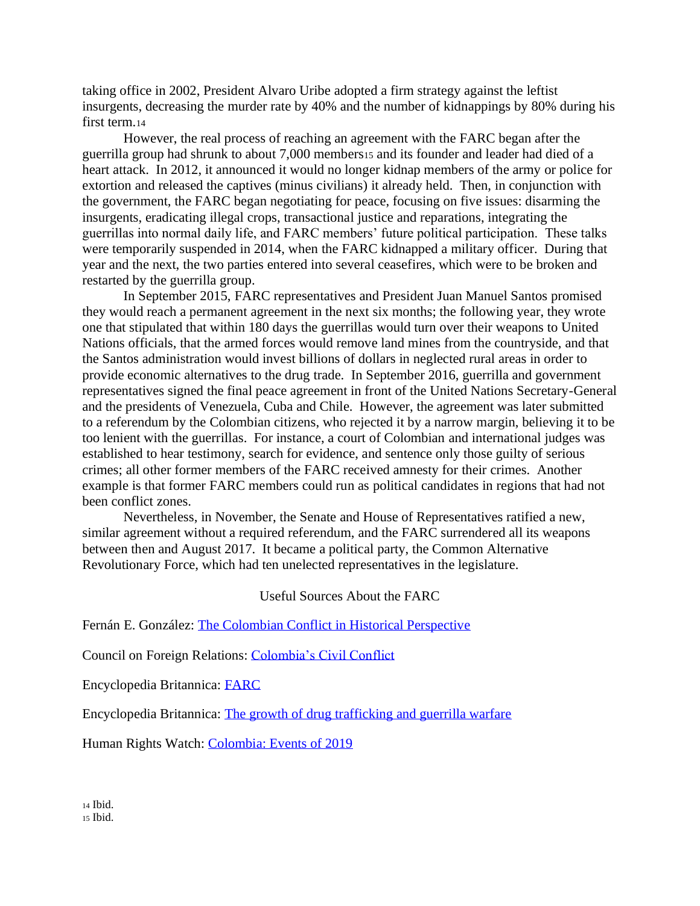taking office in 2002, President Alvaro Uribe adopted a firm strategy against the leftist insurgents, decreasing the murder rate by 40% and the number of kidnappings by 80% during his first term.<sup>14</sup>

However, the real process of reaching an agreement with the FARC began after the guerrilla group had shrunk to about 7,000 members<sup>15</sup> and its founder and leader had died of a heart attack. In 2012, it announced it would no longer kidnap members of the army or police for extortion and released the captives (minus civilians) it already held. Then, in conjunction with the government, the FARC began negotiating for peace, focusing on five issues: disarming the insurgents, eradicating illegal crops, transactional justice and reparations, integrating the guerrillas into normal daily life, and FARC members' future political participation. These talks were temporarily suspended in 2014, when the FARC kidnapped a military officer. During that year and the next, the two parties entered into several ceasefires, which were to be broken and restarted by the guerrilla group.

In September 2015, FARC representatives and President Juan Manuel Santos promised they would reach a permanent agreement in the next six months; the following year, they wrote one that stipulated that within 180 days the guerrillas would turn over their weapons to United Nations officials, that the armed forces would remove land mines from the countryside, and that the Santos administration would invest billions of dollars in neglected rural areas in order to provide economic alternatives to the drug trade. In September 2016, guerrilla and government representatives signed the final peace agreement in front of the United Nations Secretary-General and the presidents of Venezuela, Cuba and Chile. However, the agreement was later submitted to a referendum by the Colombian citizens, who rejected it by a narrow margin, believing it to be too lenient with the guerrillas. For instance, a court of Colombian and international judges was established to hear testimony, search for evidence, and sentence only those guilty of serious crimes; all other former members of the FARC received amnesty for their crimes. Another example is that former FARC members could run as political candidates in regions that had not been conflict zones.

Nevertheless, in November, the Senate and House of Representatives ratified a new, similar agreement without a required referendum, and the FARC surrendered all its weapons between then and August 2017. It became a political party, the Common Alternative Revolutionary Force, which had ten unelected representatives in the legislature.

Useful Sources About the FARC

Fernán E. González: [The Colombian Conflict in Historical Perspective](https://rc-services-assets.s3.eu-west-1.amazonaws.com/s3fs-public/Accord%2014_2The%20Colombian%20conflict%20in%20historical%20perspective_2004_%20ENG.pdf)

Council on Foreign Relations: [Colombia's Civil Conflict](https://www.cfr.org/backgrounder/colombias-civil-conflict)

Encyclopedia Britannica: [FARC](https://www.britannica.com/topic/FARC)

Encyclopedia Britannica: The growth of drug trafficking and [guerrilla warfare](https://www.britannica.com/place/Colombia/The-growth-of-drug-trafficking-and-guerrilla-warfare)

Human Rights Watch: [Colombia: Events of 2019](https://www.hrw.org/world-report/2020/country-chapters/colombia)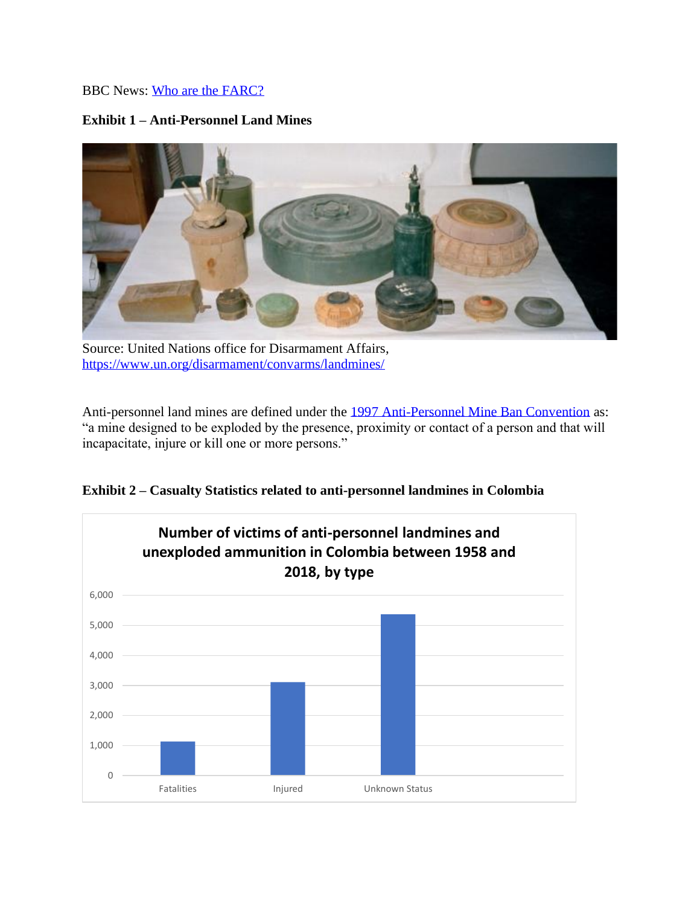## BBC News: [Who are the FARC?](https://www.bbc.com/news/world-latin-america-36605769#:~:text=The%20Revolutionary%20Armed%20Forces%20of%20Colombia%20(Farc%2C%20after%20the%20initials,follow%20a%20Marxist%2DLeninist%20ideology.)

## **Exhibit 1 – Anti-Personnel Land Mines**



Source: United Nations office for Disarmament Affairs, <https://www.un.org/disarmament/convarms/landmines/>

Anti-personnel land mines are defined under the [1997 Anti-Personnel Mine Ban Convention](http://www.weaponslaw.org/assets/downloads/1997_APMBT.pdf) as: "a mine designed to be exploded by the presence, proximity or contact of a person and that will incapacitate, injure or kill one or more persons."

**Exhibit 2 – Casualty Statistics related to anti-personnel landmines in Colombia**

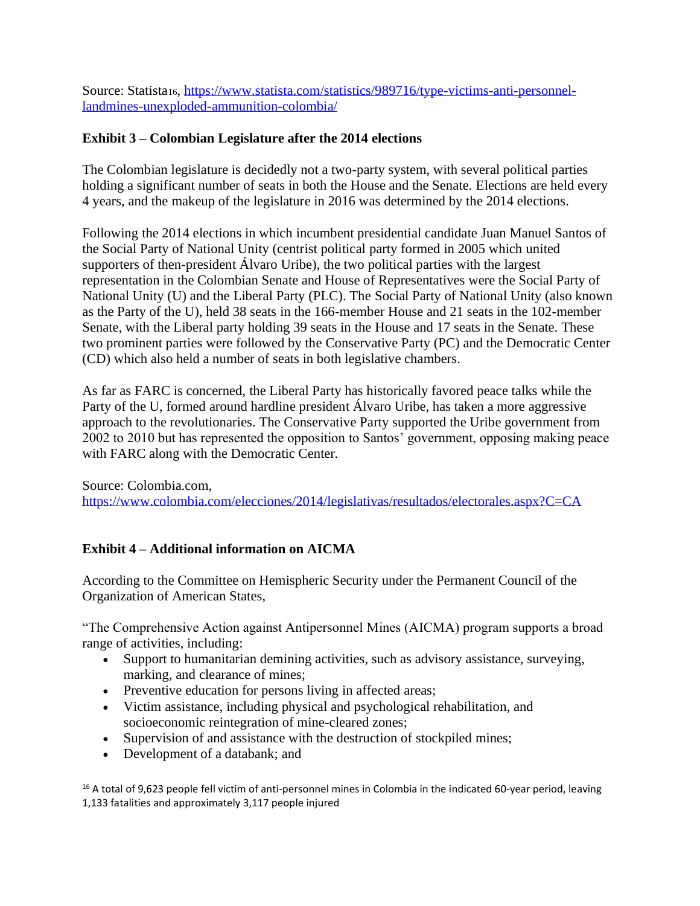Source: Statista16, [https://www.statista.com/statistics/989716/type-victims-anti-personnel](https://www.statista.com/statistics/989716/type-victims-anti-personnel-landmines-unexploded-ammunition-colombia/)[landmines-unexploded-ammunition-colombia/](https://www.statista.com/statistics/989716/type-victims-anti-personnel-landmines-unexploded-ammunition-colombia/)

## **Exhibit 3 – Colombian Legislature after the 2014 elections**

The Colombian legislature is decidedly not a two-party system, with several political parties holding a significant number of seats in both the House and the Senate. Elections are held every 4 years, and the makeup of the legislature in 2016 was determined by the 2014 elections.

Following the 2014 elections in which incumbent presidential candidate Juan Manuel Santos of the Social Party of National Unity (centrist political party formed in 2005 which united supporters of then-president Álvaro Uribe), the two political parties with the largest representation in the Colombian Senate and House of Representatives were the Social Party of National Unity (U) and the Liberal Party (PLC). The Social Party of National Unity (also known as the Party of the U), held 38 seats in the 166-member House and 21 seats in the 102-member Senate, with the Liberal party holding 39 seats in the House and 17 seats in the Senate. These two prominent parties were followed by the Conservative Party (PC) and the Democratic Center (CD) which also held a number of seats in both legislative chambers.

As far as FARC is concerned, the Liberal Party has historically favored peace talks while the Party of the U, formed around hardline president Álvaro Uribe, has taken a more aggressive approach to the revolutionaries. The Conservative Party supported the Uribe government from 2002 to 2010 but has represented the opposition to Santos' government, opposing making peace with FARC along with the Democratic Center.

Source: Colombia.com, <https://www.colombia.com/elecciones/2014/legislativas/resultados/electorales.aspx?C=CA>

# **Exhibit 4 – Additional information on AICMA**

According to the Committee on Hemispheric Security under the Permanent Council of the Organization of American States,

"The Comprehensive Action against Antipersonnel Mines (AICMA) program supports a broad range of activities, including:

- Support to humanitarian demining activities, such as advisory assistance, surveying, marking, and clearance of mines;
- Preventive education for persons living in affected areas;
- Victim assistance, including physical and psychological rehabilitation, and socioeconomic reintegration of mine-cleared zones;
- Supervision of and assistance with the destruction of stockpiled mines;
- Development of a databank; and

<sup>16</sup> A total of 9,623 people fell victim of anti-personnel mines in Colombia in the indicated 60-year period, leaving 1,133 fatalities and approximately 3,117 people injured